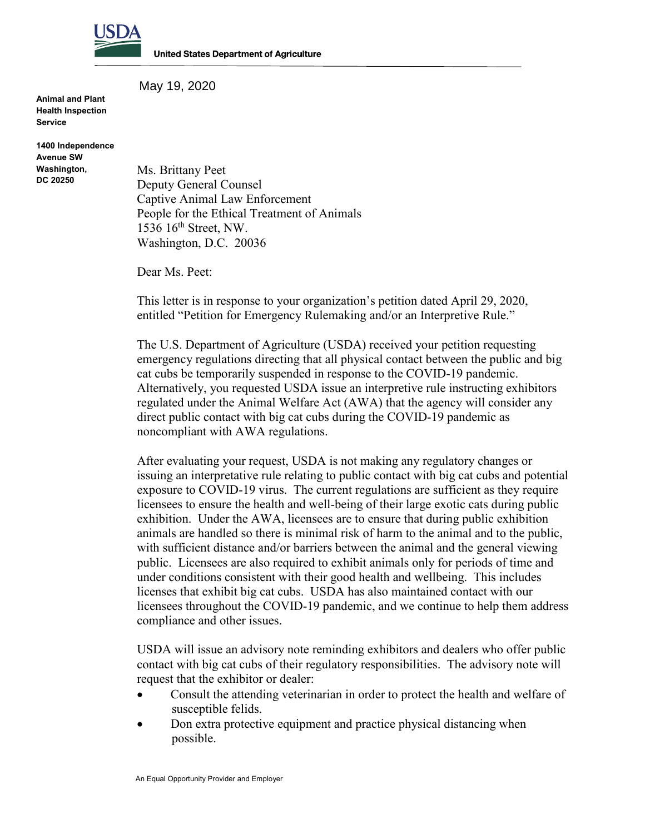

**United States Department of Agriculture** 

May 19, 2020

**Animal and Plant Health Inspection Service**

**1400 Independence Avenue SW Washington, DC 20250**

Ms. Brittany Peet Deputy General Counsel Captive Animal Law Enforcement People for the Ethical Treatment of Animals 1536 16<sup>th</sup> Street, NW. Washington, D.C. 20036

Dear Ms. Peet:

This letter is in response to your organization's petition dated April 29, 2020, entitled "Petition for Emergency Rulemaking and/or an Interpretive Rule."

The U.S. Department of Agriculture (USDA) received your petition requesting emergency regulations directing that all physical contact between the public and big cat cubs be temporarily suspended in response to the COVID-19 pandemic. Alternatively, you requested USDA issue an interpretive rule instructing exhibitors regulated under the Animal Welfare Act (AWA) that the agency will consider any direct public contact with big cat cubs during the COVID-19 pandemic as noncompliant with AWA regulations.

After evaluating your request, USDA is not making any regulatory changes or issuing an interpretative rule relating to public contact with big cat cubs and potential exposure to COVID-19 virus. The current regulations are sufficient as they require licensees to ensure the health and well-being of their large exotic cats during public exhibition. Under the AWA, licensees are to ensure that during public exhibition animals are handled so there is minimal risk of harm to the animal and to the public, with sufficient distance and/or barriers between the animal and the general viewing public. Licensees are also required to exhibit animals only for periods of time and under conditions consistent with their good health and wellbeing. This includes licenses that exhibit big cat cubs. USDA has also maintained contact with our licensees throughout the COVID-19 pandemic, and we continue to help them address compliance and other issues.

USDA will issue an advisory note reminding exhibitors and dealers who offer public contact with big cat cubs of their regulatory responsibilities. The advisory note will request that the exhibitor or dealer:

- Consult the attending veterinarian in order to protect the health and welfare of susceptible felids.
- Don extra protective equipment and practice physical distancing when possible.